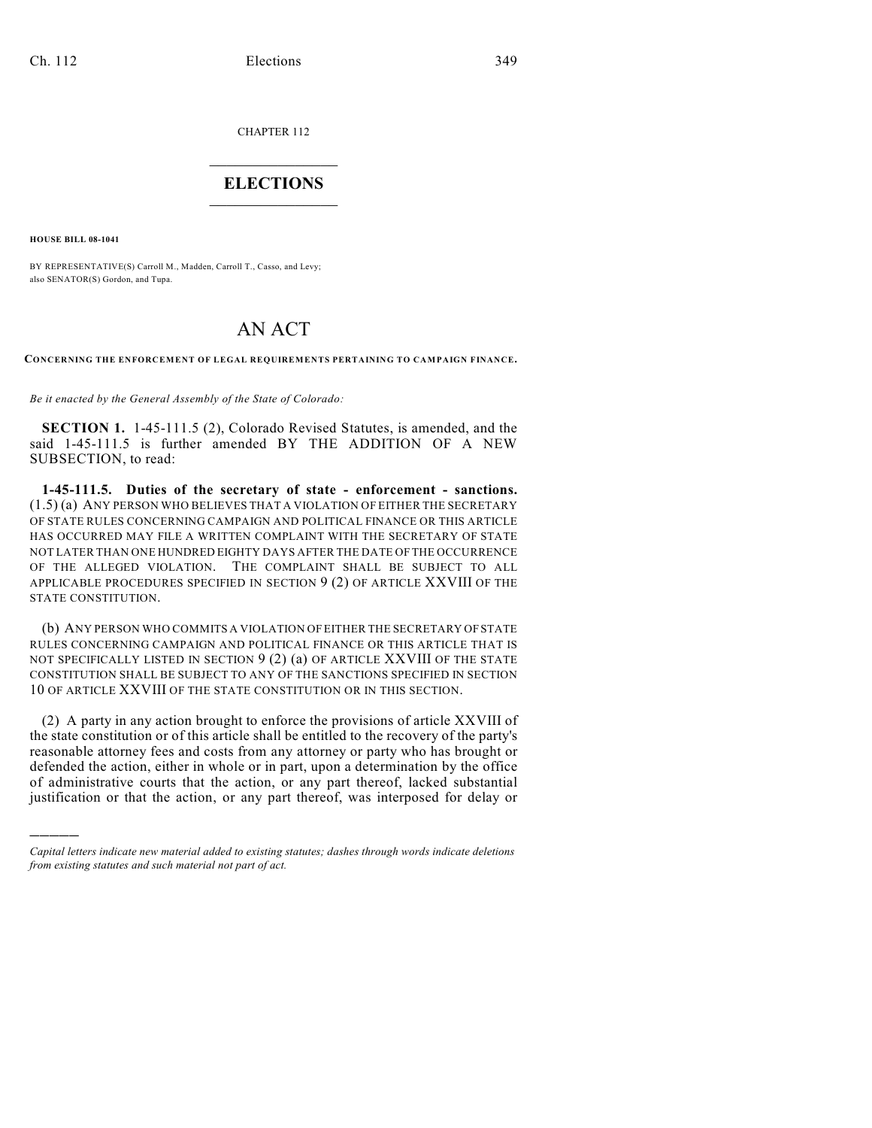CHAPTER 112

## $\overline{\phantom{a}}$  . The set of the set of the set of the set of the set of the set of the set of the set of the set of the set of the set of the set of the set of the set of the set of the set of the set of the set of the set o **ELECTIONS**  $\_$

**HOUSE BILL 08-1041**

)))))

BY REPRESENTATIVE(S) Carroll M., Madden, Carroll T., Casso, and Levy; also SENATOR(S) Gordon, and Tupa.

## AN ACT

**CONCERNING THE ENFORCEMENT OF LEGAL REQUIREMENTS PERTAINING TO CAMPAIGN FINANCE.**

*Be it enacted by the General Assembly of the State of Colorado:*

**SECTION 1.** 1-45-111.5 (2), Colorado Revised Statutes, is amended, and the said 1-45-111.5 is further amended BY THE ADDITION OF A NEW SUBSECTION, to read:

**1-45-111.5. Duties of the secretary of state - enforcement - sanctions.** (1.5) (a) ANY PERSON WHO BELIEVES THAT A VIOLATION OF EITHER THE SECRETARY OF STATE RULES CONCERNING CAMPAIGN AND POLITICAL FINANCE OR THIS ARTICLE HAS OCCURRED MAY FILE A WRITTEN COMPLAINT WITH THE SECRETARY OF STATE NOT LATER THAN ONE HUNDRED EIGHTY DAYS AFTER THE DATE OF THE OCCURRENCE OF THE ALLEGED VIOLATION. THE COMPLAINT SHALL BE SUBJECT TO ALL APPLICABLE PROCEDURES SPECIFIED IN SECTION 9 (2) OF ARTICLE XXVIII OF THE STATE CONSTITUTION.

(b) ANY PERSON WHO COMMITS A VIOLATION OF EITHER THE SECRETARY OF STATE RULES CONCERNING CAMPAIGN AND POLITICAL FINANCE OR THIS ARTICLE THAT IS NOT SPECIFICALLY LISTED IN SECTION 9 (2) (a) OF ARTICLE XXVIII OF THE STATE CONSTITUTION SHALL BE SUBJECT TO ANY OF THE SANCTIONS SPECIFIED IN SECTION 10 OF ARTICLE XXVIII OF THE STATE CONSTITUTION OR IN THIS SECTION.

(2) A party in any action brought to enforce the provisions of article XXVIII of the state constitution or of this article shall be entitled to the recovery of the party's reasonable attorney fees and costs from any attorney or party who has brought or defended the action, either in whole or in part, upon a determination by the office of administrative courts that the action, or any part thereof, lacked substantial justification or that the action, or any part thereof, was interposed for delay or

*Capital letters indicate new material added to existing statutes; dashes through words indicate deletions from existing statutes and such material not part of act.*